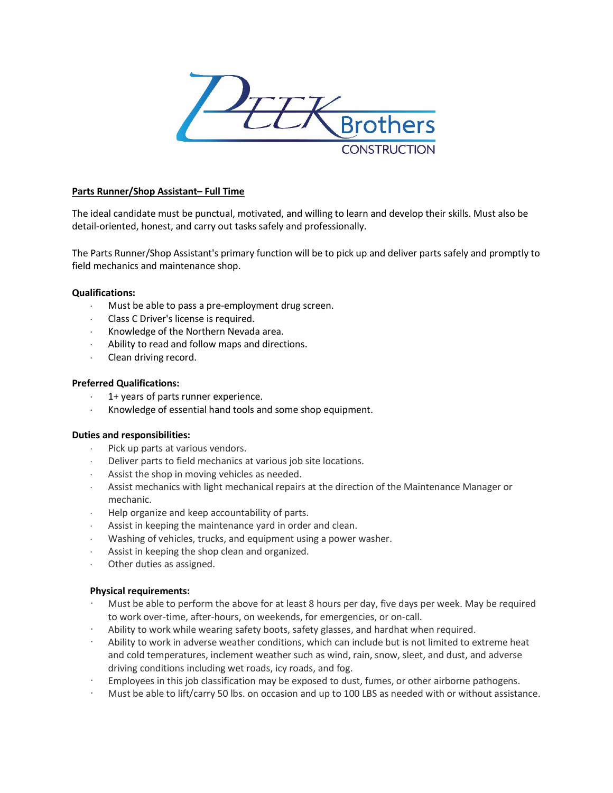

## **Parts Runner/Shop Assistant– Full Time**

The ideal candidate must be punctual, motivated, and willing to learn and develop their skills. Must also be detail-oriented, honest, and carry out tasks safely and professionally.

The Parts Runner/Shop Assistant's primary function will be to pick up and deliver parts safely and promptly to field mechanics and maintenance shop.

### **Qualifications:**

- Must be able to pass a pre-employment drug screen.
- ⋅ Class C Driver's license is required.
- ⋅ Knowledge of the Northern Nevada area.
- Ability to read and follow maps and directions.
- Clean driving record.

### **Preferred Qualifications:**

- 1+ years of parts runner experience.
- Knowledge of essential hand tools and some shop equipment.

### **Duties and responsibilities:**

- ⋅ Pick up parts at various vendors.
- Deliver parts to field mechanics at various job site locations.
- Assist the shop in moving vehicles as needed.
- Assist mechanics with light mechanical repairs at the direction of the Maintenance Manager or mechanic.
- Help organize and keep accountability of parts.
- ⋅ Assist in keeping the maintenance yard in order and clean.
- Washing of vehicles, trucks, and equipment using a power washer.
- Assist in keeping the shop clean and organized.
- ⋅ Other duties as assigned.

### **Physical requirements:**

- Must be able to perform the above for at least 8 hours per day, five days per week. May be required to work over-time, after-hours, on weekends, for emergencies, or on-call.
- Ability to work while wearing safety boots, safety glasses, and hardhat when required.
- Ability to work in adverse weather conditions, which can include but is not limited to extreme heat and cold temperatures, inclement weather such as wind, rain, snow, sleet, and dust, and adverse driving conditions including wet roads, icy roads, and fog.
- Employees in this job classification may be exposed to dust, fumes, or other airborne pathogens.
- Must be able to lift/carry 50 lbs. on occasion and up to 100 LBS as needed with or without assistance.